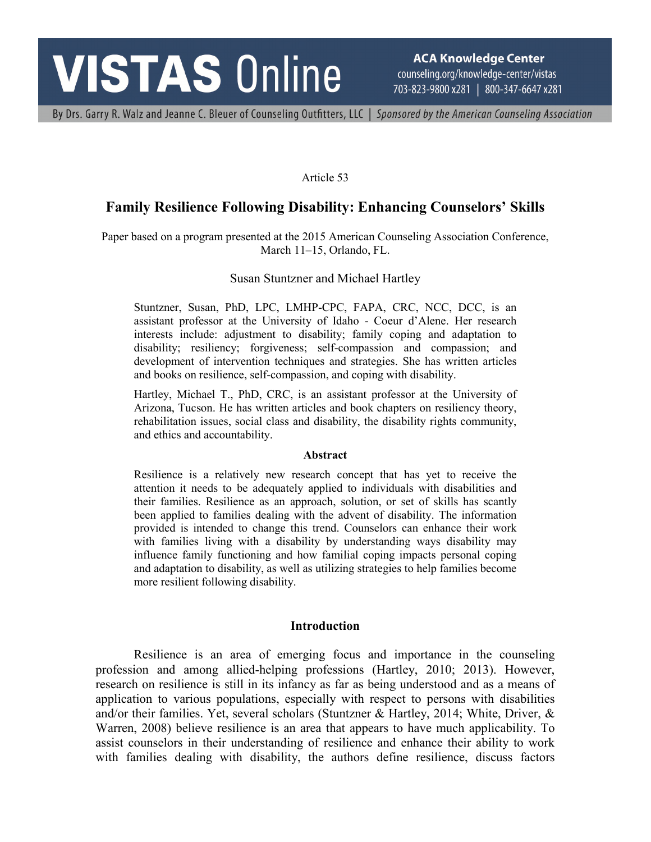# **VISTAS Online**

**ACA Knowledge Center** counseling.org/knowledge-center/vistas 703-823-9800 x281 | 800-347-6647 x281

By Drs. Garry R. Walz and Jeanne C. Bleuer of Counseling Outfitters, LLC | Sponsored by the American Counseling Association

#### Article 53

# **Family Resilience Following Disability: Enhancing Counselors' Skills**

Paper based on a program presented at the 2015 American Counseling Association Conference, March 11–15, Orlando, FL.

#### Susan Stuntzner and Michael Hartley

Stuntzner, Susan, PhD, LPC, LMHP-CPC, FAPA, CRC, NCC, DCC, is an assistant professor at the University of Idaho - Coeur d'Alene. Her research interests include: adjustment to disability; family coping and adaptation to disability; resiliency; forgiveness; self-compassion and compassion; and development of intervention techniques and strategies. She has written articles and books on resilience, self-compassion, and coping with disability.

Hartley, Michael T., PhD, CRC, is an assistant professor at the University of Arizona, Tucson. He has written articles and book chapters on resiliency theory, rehabilitation issues, social class and disability, the disability rights community, and ethics and accountability.

#### **Abstract**

Resilience is a relatively new research concept that has yet to receive the attention it needs to be adequately applied to individuals with disabilities and their families. Resilience as an approach, solution, or set of skills has scantly been applied to families dealing with the advent of disability. The information provided is intended to change this trend. Counselors can enhance their work with families living with a disability by understanding ways disability may influence family functioning and how familial coping impacts personal coping and adaptation to disability, as well as utilizing strategies to help families become more resilient following disability.

#### **Introduction**

Resilience is an area of emerging focus and importance in the counseling profession and among allied-helping professions (Hartley, 2010; 2013). However, research on resilience is still in its infancy as far as being understood and as a means of application to various populations, especially with respect to persons with disabilities and/or their families. Yet, several scholars (Stuntzner & Hartley, 2014; White, Driver, & Warren, 2008) believe resilience is an area that appears to have much applicability. To assist counselors in their understanding of resilience and enhance their ability to work with families dealing with disability, the authors define resilience, discuss factors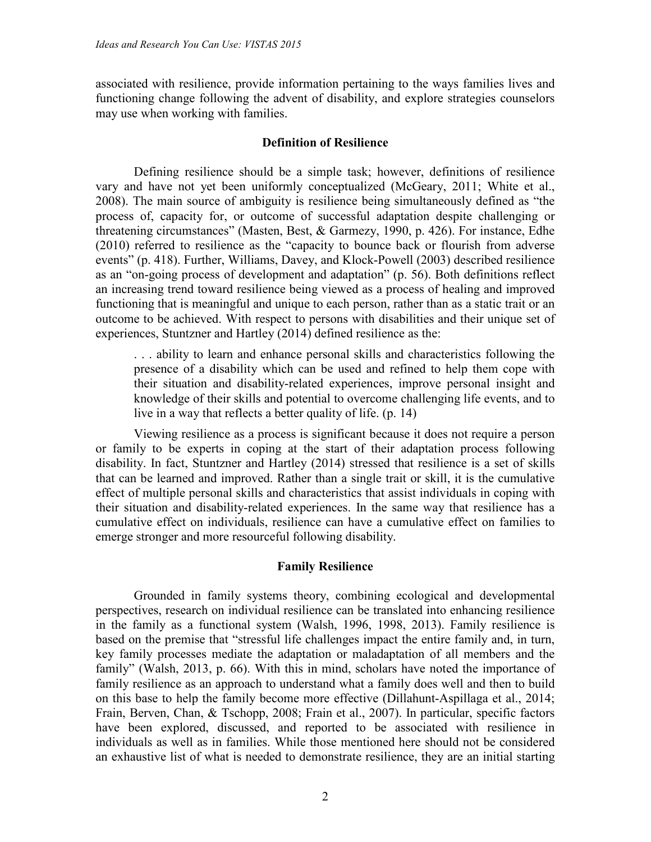associated with resilience, provide information pertaining to the ways families lives and functioning change following the advent of disability, and explore strategies counselors may use when working with families.

### **Definition of Resilience**

Defining resilience should be a simple task; however, definitions of resilience vary and have not yet been uniformly conceptualized (McGeary, 2011; White et al., 2008). The main source of ambiguity is resilience being simultaneously defined as "the process of, capacity for, or outcome of successful adaptation despite challenging or threatening circumstances" (Masten, Best, & Garmezy, 1990, p. 426). For instance, Edhe (2010) referred to resilience as the "capacity to bounce back or flourish from adverse events" (p. 418). Further, Williams, Davey, and Klock-Powell (2003) described resilience as an "on-going process of development and adaptation" (p. 56). Both definitions reflect an increasing trend toward resilience being viewed as a process of healing and improved functioning that is meaningful and unique to each person, rather than as a static trait or an outcome to be achieved. With respect to persons with disabilities and their unique set of experiences, Stuntzner and Hartley (2014) defined resilience as the:

. . . ability to learn and enhance personal skills and characteristics following the presence of a disability which can be used and refined to help them cope with their situation and disability-related experiences, improve personal insight and knowledge of their skills and potential to overcome challenging life events, and to live in a way that reflects a better quality of life. (p. 14)

Viewing resilience as a process is significant because it does not require a person or family to be experts in coping at the start of their adaptation process following disability. In fact, Stuntzner and Hartley (2014) stressed that resilience is a set of skills that can be learned and improved. Rather than a single trait or skill, it is the cumulative effect of multiple personal skills and characteristics that assist individuals in coping with their situation and disability-related experiences. In the same way that resilience has a cumulative effect on individuals, resilience can have a cumulative effect on families to emerge stronger and more resourceful following disability.

### **Family Resilience**

Grounded in family systems theory, combining ecological and developmental perspectives, research on individual resilience can be translated into enhancing resilience in the family as a functional system (Walsh, 1996, 1998, 2013). Family resilience is based on the premise that "stressful life challenges impact the entire family and, in turn, key family processes mediate the adaptation or maladaptation of all members and the family" (Walsh, 2013, p. 66). With this in mind, scholars have noted the importance of family resilience as an approach to understand what a family does well and then to build on this base to help the family become more effective (Dillahunt-Aspillaga et al., 2014; Frain, Berven, Chan, & Tschopp, 2008; Frain et al., 2007). In particular, specific factors have been explored, discussed, and reported to be associated with resilience in individuals as well as in families. While those mentioned here should not be considered an exhaustive list of what is needed to demonstrate resilience, they are an initial starting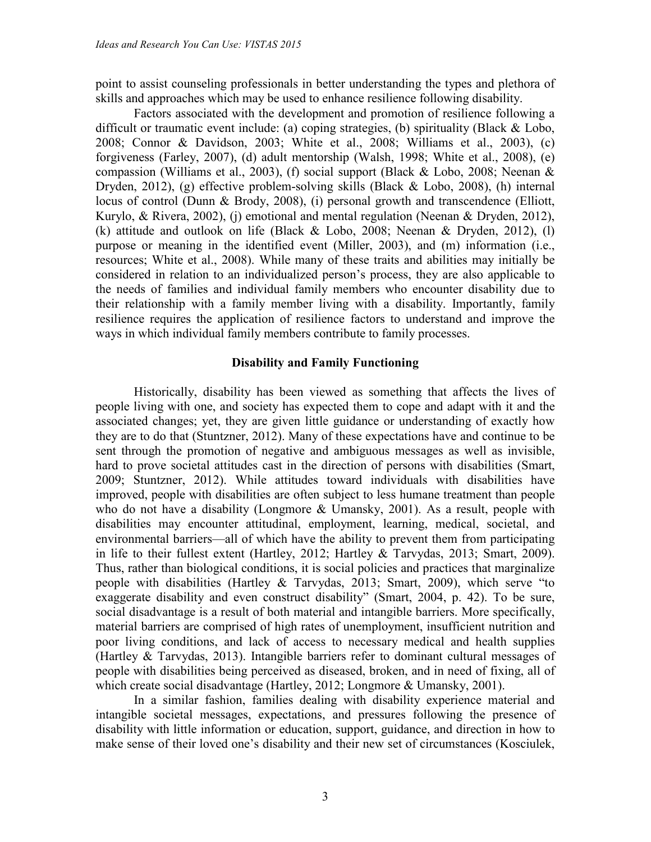point to assist counseling professionals in better understanding the types and plethora of skills and approaches which may be used to enhance resilience following disability.

Factors associated with the development and promotion of resilience following a difficult or traumatic event include: (a) coping strategies, (b) spirituality (Black & Lobo, 2008; Connor & Davidson, 2003; White et al., 2008; Williams et al., 2003), (c) forgiveness (Farley, 2007), (d) adult mentorship (Walsh, 1998; White et al., 2008), (e) compassion (Williams et al., 2003), (f) social support (Black & Lobo, 2008; Neenan & Dryden, 2012), (g) effective problem-solving skills (Black & Lobo, 2008), (h) internal locus of control (Dunn & Brody, 2008), (i) personal growth and transcendence (Elliott, Kurylo, & Rivera, 2002), (j) emotional and mental regulation (Neenan & Dryden, 2012), (k) attitude and outlook on life (Black  $&$  Lobo, 2008; Neenan  $&$  Dryden, 2012), (l) purpose or meaning in the identified event (Miller, 2003), and (m) information (i.e., resources; White et al., 2008). While many of these traits and abilities may initially be considered in relation to an individualized person's process, they are also applicable to the needs of families and individual family members who encounter disability due to their relationship with a family member living with a disability. Importantly, family resilience requires the application of resilience factors to understand and improve the ways in which individual family members contribute to family processes.

#### **Disability and Family Functioning**

Historically, disability has been viewed as something that affects the lives of people living with one, and society has expected them to cope and adapt with it and the associated changes; yet, they are given little guidance or understanding of exactly how they are to do that (Stuntzner, 2012). Many of these expectations have and continue to be sent through the promotion of negative and ambiguous messages as well as invisible, hard to prove societal attitudes cast in the direction of persons with disabilities (Smart, 2009; Stuntzner, 2012). While attitudes toward individuals with disabilities have improved, people with disabilities are often subject to less humane treatment than people who do not have a disability (Longmore & Umansky, 2001). As a result, people with disabilities may encounter attitudinal, employment, learning, medical, societal, and environmental barriers—all of which have the ability to prevent them from participating in life to their fullest extent (Hartley, 2012; Hartley & Tarvydas, 2013; Smart, 2009). Thus, rather than biological conditions, it is social policies and practices that marginalize people with disabilities (Hartley & Tarvydas, 2013; Smart, 2009), which serve "to exaggerate disability and even construct disability" (Smart, 2004, p. 42). To be sure, social disadvantage is a result of both material and intangible barriers. More specifically, material barriers are comprised of high rates of unemployment, insufficient nutrition and poor living conditions, and lack of access to necessary medical and health supplies (Hartley & Tarvydas, 2013). Intangible barriers refer to dominant cultural messages of people with disabilities being perceived as diseased, broken, and in need of fixing, all of which create social disadvantage (Hartley, 2012; Longmore & Umansky, 2001).

In a similar fashion, families dealing with disability experience material and intangible societal messages, expectations, and pressures following the presence of disability with little information or education, support, guidance, and direction in how to make sense of their loved one's disability and their new set of circumstances (Kosciulek,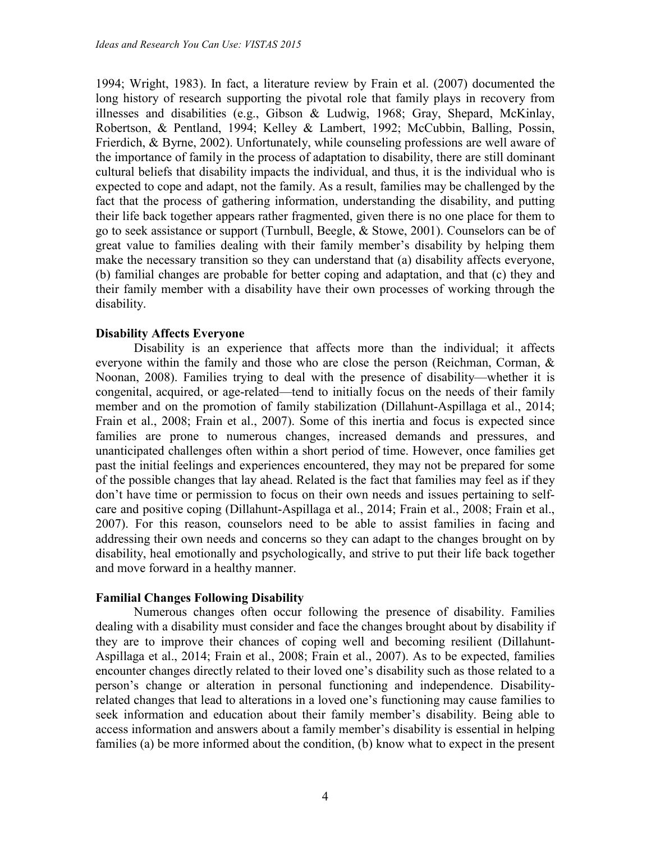1994; Wright, 1983). In fact, a literature review by Frain et al. (2007) documented the long history of research supporting the pivotal role that family plays in recovery from illnesses and disabilities (e.g., Gibson & Ludwig, 1968; Gray, Shepard, McKinlay, Robertson, & Pentland, 1994; Kelley & Lambert, 1992; McCubbin, Balling, Possin, Frierdich, & Byrne, 2002). Unfortunately, while counseling professions are well aware of the importance of family in the process of adaptation to disability, there are still dominant cultural beliefs that disability impacts the individual, and thus, it is the individual who is expected to cope and adapt, not the family. As a result, families may be challenged by the fact that the process of gathering information, understanding the disability, and putting their life back together appears rather fragmented, given there is no one place for them to go to seek assistance or support (Turnbull, Beegle, & Stowe, 2001). Counselors can be of great value to families dealing with their family member's disability by helping them make the necessary transition so they can understand that (a) disability affects everyone, (b) familial changes are probable for better coping and adaptation, and that (c) they and their family member with a disability have their own processes of working through the disability.

#### **Disability Affects Everyone**

Disability is an experience that affects more than the individual; it affects everyone within the family and those who are close the person (Reichman, Corman, & Noonan, 2008). Families trying to deal with the presence of disability—whether it is congenital, acquired, or age-related—tend to initially focus on the needs of their family member and on the promotion of family stabilization (Dillahunt-Aspillaga et al., 2014; Frain et al., 2008; Frain et al., 2007). Some of this inertia and focus is expected since families are prone to numerous changes, increased demands and pressures, and unanticipated challenges often within a short period of time. However, once families get past the initial feelings and experiences encountered, they may not be prepared for some of the possible changes that lay ahead. Related is the fact that families may feel as if they don't have time or permission to focus on their own needs and issues pertaining to selfcare and positive coping (Dillahunt-Aspillaga et al., 2014; Frain et al., 2008; Frain et al., 2007). For this reason, counselors need to be able to assist families in facing and addressing their own needs and concerns so they can adapt to the changes brought on by disability, heal emotionally and psychologically, and strive to put their life back together and move forward in a healthy manner.

### **Familial Changes Following Disability**

Numerous changes often occur following the presence of disability. Families dealing with a disability must consider and face the changes brought about by disability if they are to improve their chances of coping well and becoming resilient (Dillahunt-Aspillaga et al., 2014; Frain et al., 2008; Frain et al., 2007). As to be expected, families encounter changes directly related to their loved one's disability such as those related to a person's change or alteration in personal functioning and independence. Disabilityrelated changes that lead to alterations in a loved one's functioning may cause families to seek information and education about their family member's disability. Being able to access information and answers about a family member's disability is essential in helping families (a) be more informed about the condition, (b) know what to expect in the present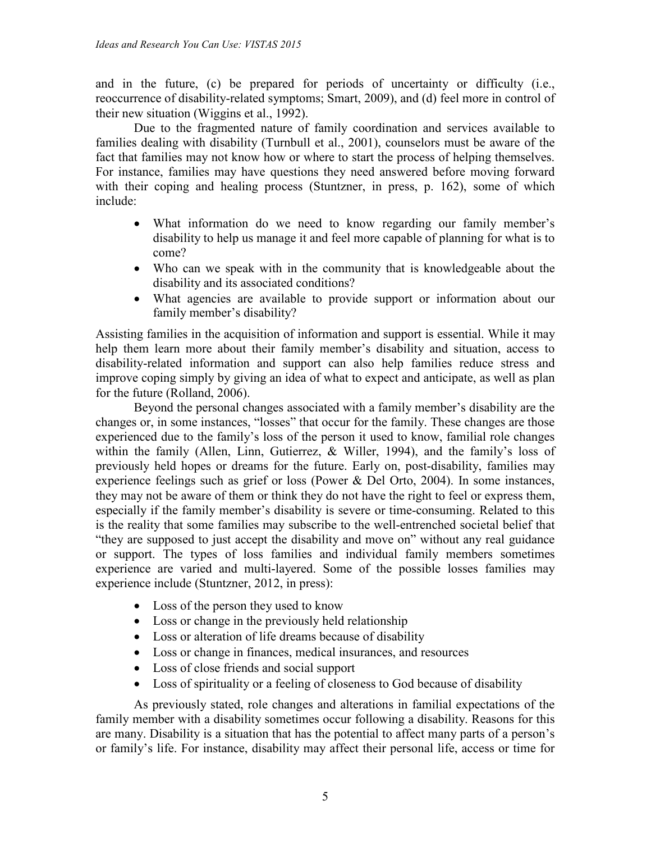and in the future, (c) be prepared for periods of uncertainty or difficulty (i.e., reoccurrence of disability-related symptoms; Smart, 2009), and (d) feel more in control of their new situation (Wiggins et al., 1992).

Due to the fragmented nature of family coordination and services available to families dealing with disability (Turnbull et al., 2001), counselors must be aware of the fact that families may not know how or where to start the process of helping themselves. For instance, families may have questions they need answered before moving forward with their coping and healing process (Stuntzner, in press, p. 162), some of which include:

- What information do we need to know regarding our family member's disability to help us manage it and feel more capable of planning for what is to come?
- Who can we speak with in the community that is knowledgeable about the disability and its associated conditions?
- What agencies are available to provide support or information about our family member's disability?

Assisting families in the acquisition of information and support is essential. While it may help them learn more about their family member's disability and situation, access to disability-related information and support can also help families reduce stress and improve coping simply by giving an idea of what to expect and anticipate, as well as plan for the future (Rolland, 2006).

Beyond the personal changes associated with a family member's disability are the changes or, in some instances, "losses" that occur for the family. These changes are those experienced due to the family's loss of the person it used to know, familial role changes within the family (Allen, Linn, Gutierrez, & Willer, 1994), and the family's loss of previously held hopes or dreams for the future. Early on, post-disability, families may experience feelings such as grief or loss (Power & Del Orto, 2004). In some instances, they may not be aware of them or think they do not have the right to feel or express them, especially if the family member's disability is severe or time-consuming. Related to this is the reality that some families may subscribe to the well-entrenched societal belief that "they are supposed to just accept the disability and move on" without any real guidance or support. The types of loss families and individual family members sometimes experience are varied and multi-layered. Some of the possible losses families may experience include (Stuntzner, 2012, in press):

- Loss of the person they used to know
- Loss or change in the previously held relationship
- Loss or alteration of life dreams because of disability
- Loss or change in finances, medical insurances, and resources
- Loss of close friends and social support
- Loss of spirituality or a feeling of closeness to God because of disability

As previously stated, role changes and alterations in familial expectations of the family member with a disability sometimes occur following a disability. Reasons for this are many. Disability is a situation that has the potential to affect many parts of a person's or family's life. For instance, disability may affect their personal life, access or time for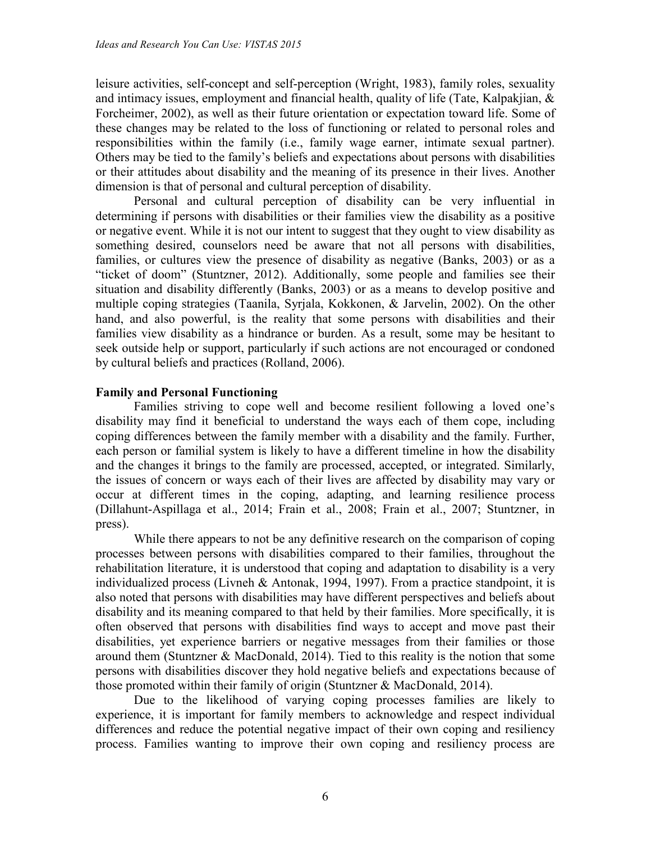leisure activities, self-concept and self-perception (Wright, 1983), family roles, sexuality and intimacy issues, employment and financial health, quality of life (Tate, Kalpakjian, & Forcheimer, 2002), as well as their future orientation or expectation toward life. Some of these changes may be related to the loss of functioning or related to personal roles and responsibilities within the family (i.e., family wage earner, intimate sexual partner). Others may be tied to the family's beliefs and expectations about persons with disabilities or their attitudes about disability and the meaning of its presence in their lives. Another dimension is that of personal and cultural perception of disability.

Personal and cultural perception of disability can be very influential in determining if persons with disabilities or their families view the disability as a positive or negative event. While it is not our intent to suggest that they ought to view disability as something desired, counselors need be aware that not all persons with disabilities, families, or cultures view the presence of disability as negative (Banks, 2003) or as a "ticket of doom" (Stuntzner, 2012). Additionally, some people and families see their situation and disability differently (Banks, 2003) or as a means to develop positive and multiple coping strategies (Taanila, Syrjala, Kokkonen, & Jarvelin, 2002). On the other hand, and also powerful, is the reality that some persons with disabilities and their families view disability as a hindrance or burden. As a result, some may be hesitant to seek outside help or support, particularly if such actions are not encouraged or condoned by cultural beliefs and practices (Rolland, 2006).

# **Family and Personal Functioning**

Families striving to cope well and become resilient following a loved one's disability may find it beneficial to understand the ways each of them cope, including coping differences between the family member with a disability and the family. Further, each person or familial system is likely to have a different timeline in how the disability and the changes it brings to the family are processed, accepted, or integrated. Similarly, the issues of concern or ways each of their lives are affected by disability may vary or occur at different times in the coping, adapting, and learning resilience process (Dillahunt-Aspillaga et al., 2014; Frain et al., 2008; Frain et al., 2007; Stuntzner, in press).

While there appears to not be any definitive research on the comparison of coping processes between persons with disabilities compared to their families, throughout the rehabilitation literature, it is understood that coping and adaptation to disability is a very individualized process (Livneh & Antonak, 1994, 1997). From a practice standpoint, it is also noted that persons with disabilities may have different perspectives and beliefs about disability and its meaning compared to that held by their families. More specifically, it is often observed that persons with disabilities find ways to accept and move past their disabilities, yet experience barriers or negative messages from their families or those around them (Stuntzner & MacDonald, 2014). Tied to this reality is the notion that some persons with disabilities discover they hold negative beliefs and expectations because of those promoted within their family of origin (Stuntzner & MacDonald, 2014).

Due to the likelihood of varying coping processes families are likely to experience, it is important for family members to acknowledge and respect individual differences and reduce the potential negative impact of their own coping and resiliency process. Families wanting to improve their own coping and resiliency process are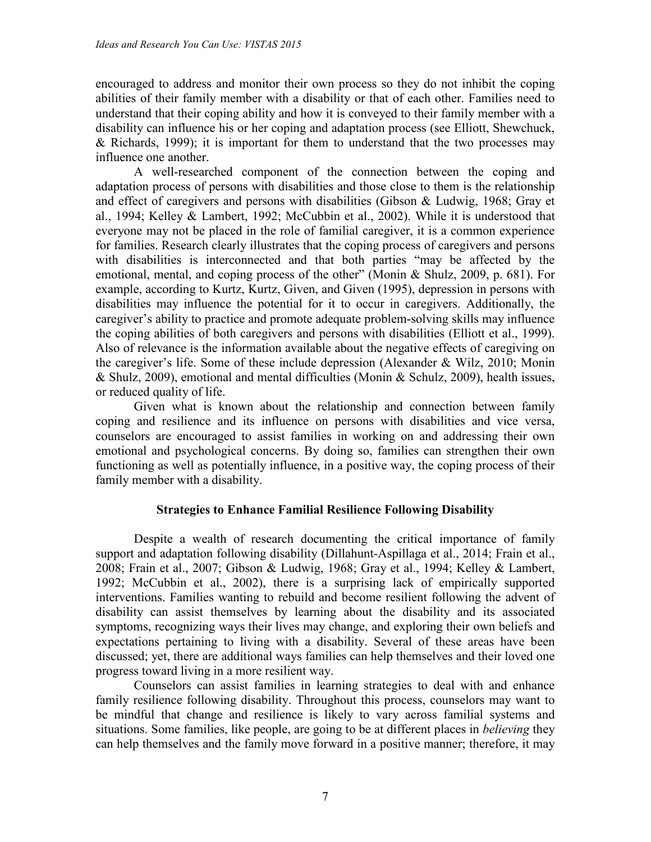encouraged to address and monitor their own process so they do not inhibit the coping abilities of their family member with a disability or that of each other. Families need to understand that their coping ability and how it is conveyed to their family member with a disability can influence his or her coping and adaptation process (see Elliott, Shewchuck, & Richards, 1999); it is important for them to understand that the two processes may influence one another.

A well-researched component of the connection between the coping and adaptation process of persons with disabilities and those close to them is the relationship and effect of caregivers and persons with disabilities (Gibson & Ludwig, 1968; Gray et al., 1994; Kelley & Lambert, 1992; McCubbin et al., 2002). While it is understood that everyone may not be placed in the role of familial caregiver, it is a common experience for families. Research clearly illustrates that the coping process of caregivers and persons with disabilities is interconnected and that both parties "may be affected by the emotional, mental, and coping process of the other" (Monin & Shulz, 2009, p. 681). For example, according to Kurtz, Kurtz, Given, and Given (1995), depression in persons with disabilities may influence the potential for it to occur in caregivers. Additionally, the caregiver's ability to practice and promote adequate problem-solving skills may influence the coping abilities of both caregivers and persons with disabilities (Elliott et al., 1999). Also of relevance is the information available about the negative effects of caregiving on the caregiver's life. Some of these include depression (Alexander & Wilz, 2010; Monin & Shulz, 2009), emotional and mental difficulties (Monin & Schulz, 2009), health issues, or reduced quality of life.

Given what is known about the relationship and connection between family coping and resilience and its influence on persons with disabilities and vice versa, counselors are encouraged to assist families in working on and addressing their own emotional and psychological concerns. By doing so, families can strengthen their own functioning as well as potentially influence, in a positive way, the coping process of their family member with a disability.

### **Strategies to Enhance Familial Resilience Following Disability**

Despite a wealth of research documenting the critical importance of family support and adaptation following disability (Dillahunt-Aspillaga et al., 2014; Frain et al., 2008; Frain et al., 2007; Gibson & Ludwig, 1968; Gray et al., 1994; Kelley & Lambert, 1992; McCubbin et al., 2002), there is a surprising lack of empirically supported interventions. Families wanting to rebuild and become resilient following the advent of disability can assist themselves by learning about the disability and its associated symptoms, recognizing ways their lives may change, and exploring their own beliefs and expectations pertaining to living with a disability. Several of these areas have been discussed; yet, there are additional ways families can help themselves and their loved one progress toward living in a more resilient way.

Counselors can assist families in learning strategies to deal with and enhance family resilience following disability. Throughout this process, counselors may want to be mindful that change and resilience is likely to vary across familial systems and situations. Some families, like people, are going to be at different places in *believing* they can help themselves and the family move forward in a positive manner; therefore, it may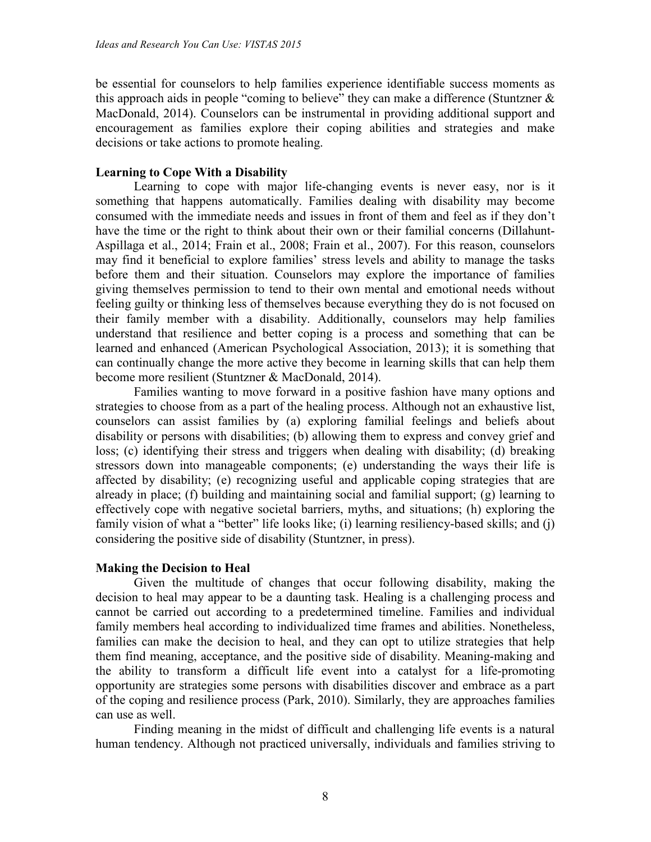be essential for counselors to help families experience identifiable success moments as this approach aids in people "coming to believe" they can make a difference (Stuntzner  $\&$ MacDonald, 2014). Counselors can be instrumental in providing additional support and encouragement as families explore their coping abilities and strategies and make decisions or take actions to promote healing.

## **Learning to Cope With a Disability**

Learning to cope with major life-changing events is never easy, nor is it something that happens automatically. Families dealing with disability may become consumed with the immediate needs and issues in front of them and feel as if they don't have the time or the right to think about their own or their familial concerns (Dillahunt-Aspillaga et al., 2014; Frain et al., 2008; Frain et al., 2007). For this reason, counselors may find it beneficial to explore families' stress levels and ability to manage the tasks before them and their situation. Counselors may explore the importance of families giving themselves permission to tend to their own mental and emotional needs without feeling guilty or thinking less of themselves because everything they do is not focused on their family member with a disability. Additionally, counselors may help families understand that resilience and better coping is a process and something that can be learned and enhanced (American Psychological Association, 2013); it is something that can continually change the more active they become in learning skills that can help them become more resilient (Stuntzner & MacDonald, 2014).

Families wanting to move forward in a positive fashion have many options and strategies to choose from as a part of the healing process. Although not an exhaustive list, counselors can assist families by (a) exploring familial feelings and beliefs about disability or persons with disabilities; (b) allowing them to express and convey grief and loss; (c) identifying their stress and triggers when dealing with disability; (d) breaking stressors down into manageable components; (e) understanding the ways their life is affected by disability; (e) recognizing useful and applicable coping strategies that are already in place; (f) building and maintaining social and familial support; (g) learning to effectively cope with negative societal barriers, myths, and situations; (h) exploring the family vision of what a "better" life looks like; (i) learning resiliency-based skills; and (j) considering the positive side of disability (Stuntzner, in press).

### **Making the Decision to Heal**

Given the multitude of changes that occur following disability, making the decision to heal may appear to be a daunting task. Healing is a challenging process and cannot be carried out according to a predetermined timeline. Families and individual family members heal according to individualized time frames and abilities. Nonetheless, families can make the decision to heal, and they can opt to utilize strategies that help them find meaning, acceptance, and the positive side of disability. Meaning-making and the ability to transform a difficult life event into a catalyst for a life-promoting opportunity are strategies some persons with disabilities discover and embrace as a part of the coping and resilience process (Park, 2010). Similarly, they are approaches families can use as well.

Finding meaning in the midst of difficult and challenging life events is a natural human tendency. Although not practiced universally, individuals and families striving to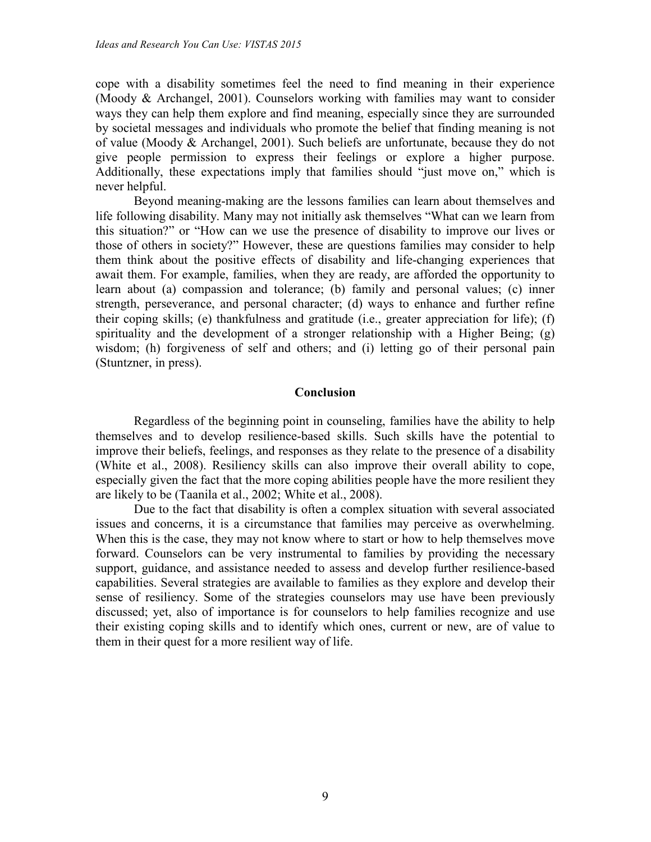cope with a disability sometimes feel the need to find meaning in their experience (Moody & Archangel, 2001). Counselors working with families may want to consider ways they can help them explore and find meaning, especially since they are surrounded by societal messages and individuals who promote the belief that finding meaning is not of value (Moody & Archangel, 2001). Such beliefs are unfortunate, because they do not give people permission to express their feelings or explore a higher purpose. Additionally, these expectations imply that families should "just move on," which is never helpful.

Beyond meaning-making are the lessons families can learn about themselves and life following disability. Many may not initially ask themselves "What can we learn from this situation?" or "How can we use the presence of disability to improve our lives or those of others in society?" However, these are questions families may consider to help them think about the positive effects of disability and life-changing experiences that await them. For example, families, when they are ready, are afforded the opportunity to learn about (a) compassion and tolerance; (b) family and personal values; (c) inner strength, perseverance, and personal character; (d) ways to enhance and further refine their coping skills; (e) thankfulness and gratitude (i.e., greater appreciation for life); (f) spirituality and the development of a stronger relationship with a Higher Being; (g) wisdom; (h) forgiveness of self and others; and (i) letting go of their personal pain (Stuntzner, in press).

#### **Conclusion**

Regardless of the beginning point in counseling, families have the ability to help themselves and to develop resilience-based skills. Such skills have the potential to improve their beliefs, feelings, and responses as they relate to the presence of a disability (White et al., 2008). Resiliency skills can also improve their overall ability to cope, especially given the fact that the more coping abilities people have the more resilient they are likely to be (Taanila et al., 2002; White et al., 2008).

Due to the fact that disability is often a complex situation with several associated issues and concerns, it is a circumstance that families may perceive as overwhelming. When this is the case, they may not know where to start or how to help themselves move forward. Counselors can be very instrumental to families by providing the necessary support, guidance, and assistance needed to assess and develop further resilience-based capabilities. Several strategies are available to families as they explore and develop their sense of resiliency. Some of the strategies counselors may use have been previously discussed; yet, also of importance is for counselors to help families recognize and use their existing coping skills and to identify which ones, current or new, are of value to them in their quest for a more resilient way of life.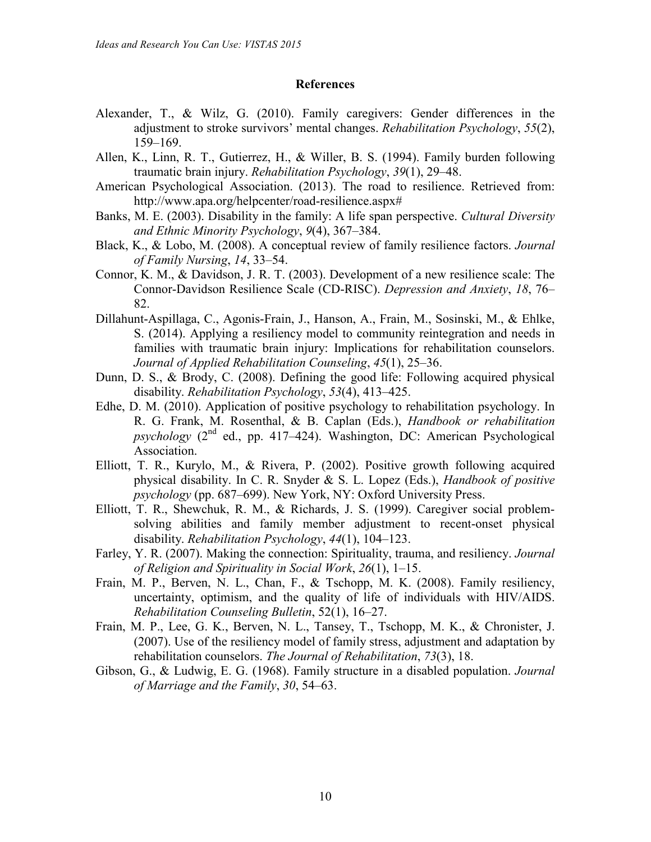#### **References**

- Alexander, T., & Wilz, G. (2010). Family caregivers: Gender differences in the adjustment to stroke survivors' mental changes. *Rehabilitation Psychology*, *55*(2), 159–169.
- Allen, K., Linn, R. T., Gutierrez, H., & Willer, B. S. (1994). Family burden following traumatic brain injury. *Rehabilitation Psychology*, *39*(1), 29–48.
- American Psychological Association. (2013). The road to resilience. Retrieved from: http://www.apa.org/helpcenter/road-resilience.aspx#
- Banks, M. E. (2003). Disability in the family: A life span perspective. *Cultural Diversity and Ethnic Minority Psychology*, *9*(4), 367–384.
- Black, K., & Lobo, M. (2008). A conceptual review of family resilience factors. *Journal of Family Nursing*, *14*, 33–54.
- Connor, K. M., & Davidson, J. R. T. (2003). Development of a new resilience scale: The Connor-Davidson Resilience Scale (CD-RISC). *Depression and Anxiety*, *18*, 76– 82.
- Dillahunt-Aspillaga, C., Agonis-Frain, J., Hanson, A., Frain, M., Sosinski, M., & Ehlke, S. (2014). Applying a resiliency model to community reintegration and needs in families with traumatic brain injury: Implications for rehabilitation counselors. *Journal of Applied Rehabilitation Counseling*, *45*(1), 25–36.
- Dunn, D. S., & Brody, C. (2008). Defining the good life: Following acquired physical disability. *Rehabilitation Psychology*, *53*(4), 413–425.
- Edhe, D. M. (2010). Application of positive psychology to rehabilitation psychology. In R. G. Frank, M. Rosenthal, & B. Caplan (Eds.), *Handbook or rehabilitation*  $p$ *sychology* ( $2<sup>nd</sup>$  ed., pp. 417–424). Washington, DC: American Psychological Association.
- Elliott, T. R., Kurylo, M., & Rivera, P. (2002). Positive growth following acquired physical disability. In C. R. Snyder & S. L. Lopez (Eds.), *Handbook of positive psychology* (pp. 687–699). New York, NY: Oxford University Press.
- Elliott, T. R., Shewchuk, R. M., & Richards, J. S. (1999). Caregiver social problemsolving abilities and family member adjustment to recent-onset physical disability. *Rehabilitation Psychology*, *44*(1), 104–123.
- Farley, Y. R. (2007). Making the connection: Spirituality, trauma, and resiliency. *Journal of Religion and Spirituality in Social Work*, *26*(1), 1–15.
- Frain, M. P., Berven, N. L., Chan, F., & Tschopp, M. K. (2008). Family resiliency, uncertainty, optimism, and the quality of life of individuals with HIV/AIDS. *Rehabilitation Counseling Bulletin*, 52(1), 16–27.
- Frain, M. P., Lee, G. K., Berven, N. L., Tansey, T., Tschopp, M. K., & Chronister, J. (2007). Use of the resiliency model of family stress, adjustment and adaptation by rehabilitation counselors. *The Journal of Rehabilitation*, *73*(3), 18.
- Gibson, G., & Ludwig, E. G. (1968). Family structure in a disabled population. *Journal of Marriage and the Family*, *30*, 54–63.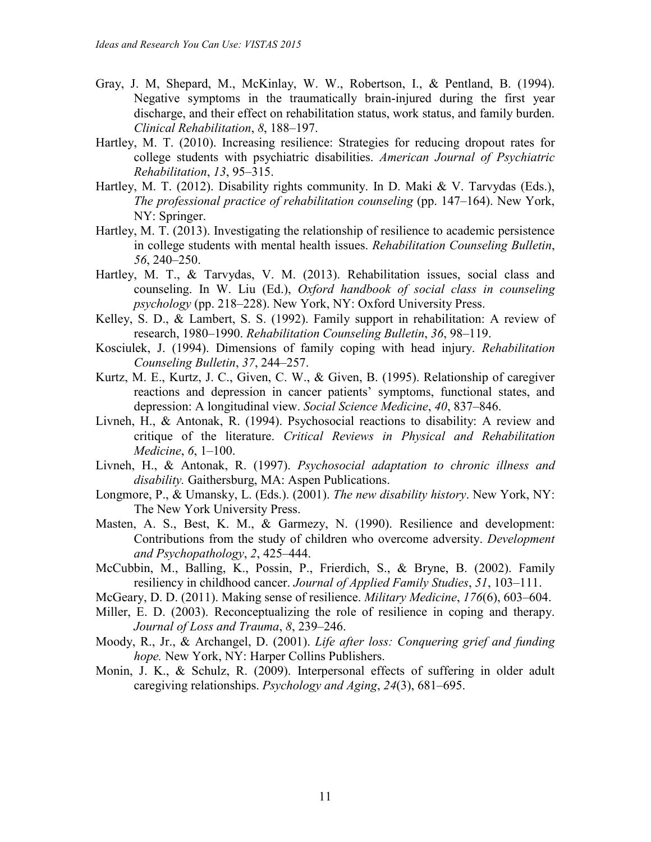- Gray, J. M, Shepard, M., McKinlay, W. W., Robertson, I., & Pentland, B. (1994). Negative symptoms in the traumatically brain-injured during the first year discharge, and their effect on rehabilitation status, work status, and family burden. *Clinical Rehabilitation*, *8*, 188–197.
- Hartley, M. T. (2010). Increasing resilience: Strategies for reducing dropout rates for college students with psychiatric disabilities. *American Journal of Psychiatric Rehabilitation*, *13*, 95–315.
- Hartley, M. T. (2012). Disability rights community. In D. Maki & V. Tarvydas (Eds.), *The professional practice of rehabilitation counseling* (pp. 147–164). New York, NY: Springer.
- Hartley, M. T. (2013). Investigating the relationship of resilience to academic persistence in college students with mental health issues. *Rehabilitation Counseling Bulletin*, *56*, 240–250.
- Hartley, M. T., & Tarvydas, V. M. (2013). Rehabilitation issues, social class and counseling. In W. Liu (Ed.), *Oxford handbook of social class in counseling psychology* (pp. 218–228). New York, NY: Oxford University Press.
- Kelley, S. D., & Lambert, S. S. (1992). Family support in rehabilitation: A review of research, 1980–1990. *Rehabilitation Counseling Bulletin*, *36*, 98–119.
- Kosciulek, J. (1994). Dimensions of family coping with head injury. *Rehabilitation Counseling Bulletin*, *37*, 244–257.
- Kurtz, M. E., Kurtz, J. C., Given, C. W., & Given, B. (1995). Relationship of caregiver reactions and depression in cancer patients' symptoms, functional states, and depression: A longitudinal view. *Social Science Medicine*, *40*, 837–846.
- Livneh, H., & Antonak, R. (1994). Psychosocial reactions to disability: A review and critique of the literature. *Critical Reviews in Physical and Rehabilitation Medicine*, *6*, 1–100.
- Livneh, H., & Antonak, R. (1997). *Psychosocial adaptation to chronic illness and disability.* Gaithersburg, MA: Aspen Publications.
- Longmore, P., & Umansky, L. (Eds.). (2001). *The new disability history*. New York, NY: The New York University Press.
- Masten, A. S., Best, K. M., & Garmezy, N. (1990). Resilience and development: Contributions from the study of children who overcome adversity. *Development and Psychopathology*, *2*, 425–444.
- McCubbin, M., Balling, K., Possin, P., Frierdich, S., & Bryne, B. (2002). Family resiliency in childhood cancer. *Journal of Applied Family Studies*, *51*, 103–111.
- McGeary, D. D. (2011). Making sense of resilience. *Military Medicine*, *176*(6), 603–604.
- Miller, E. D. (2003). Reconceptualizing the role of resilience in coping and therapy. *Journal of Loss and Trauma*, *8*, 239–246.
- Moody, R., Jr., & Archangel, D. (2001). *Life after loss: Conquering grief and funding hope.* New York, NY: Harper Collins Publishers.
- Monin, J. K., & Schulz, R. (2009). Interpersonal effects of suffering in older adult caregiving relationships. *Psychology and Aging*, *24*(3), 681–695.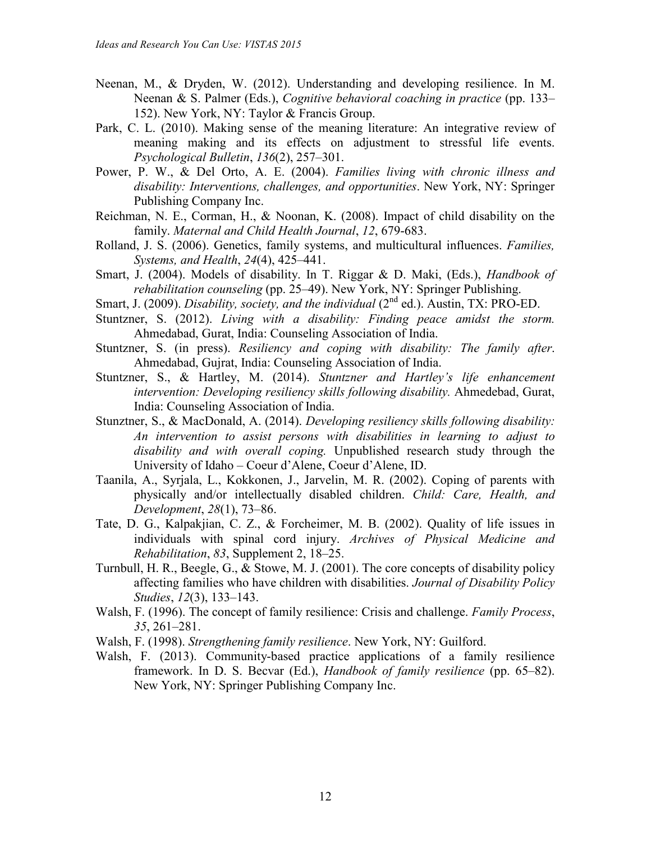- Neenan, M., & Dryden, W. (2012). Understanding and developing resilience. In M. Neenan & S. Palmer (Eds.), *Cognitive behavioral coaching in practice* (pp. 133– 152). New York, NY: Taylor & Francis Group.
- Park, C. L. (2010). Making sense of the meaning literature: An integrative review of meaning making and its effects on adjustment to stressful life events. *Psychological Bulletin*, *136*(2), 257–301.
- Power, P. W., & Del Orto, A. E. (2004). *Families living with chronic illness and disability: Interventions, challenges, and opportunities*. New York, NY: Springer Publishing Company Inc.
- Reichman, N. E., Corman, H., & Noonan, K. (2008). Impact of child disability on the family. *Maternal and Child Health Journal*, *12*, 679-683.
- Rolland, J. S. (2006). Genetics, family systems, and multicultural influences. *Families, Systems, and Health*, *24*(4), 425–441.
- Smart, J. (2004). Models of disability. In T. Riggar & D. Maki, (Eds.), *Handbook of rehabilitation counseling* (pp. 25–49). New York, NY: Springer Publishing.
- Smart, J. (2009). *Disability, society, and the individual* (2<sup>nd</sup> ed.). Austin, TX: PRO-ED.
- Stuntzner, S. (2012). *Living with a disability: Finding peace amidst the storm.* Ahmedabad, Gurat, India: Counseling Association of India.
- Stuntzner, S. (in press). *Resiliency and coping with disability: The family after*. Ahmedabad, Gujrat, India: Counseling Association of India.
- Stuntzner, S., & Hartley, M. (2014). *Stuntzner and Hartley's life enhancement intervention: Developing resiliency skills following disability.* Ahmedebad, Gurat, India: Counseling Association of India.
- Stunztner, S., & MacDonald, A. (2014). *Developing resiliency skills following disability: An intervention to assist persons with disabilities in learning to adjust to disability and with overall coping.* Unpublished research study through the University of Idaho – Coeur d'Alene, Coeur d'Alene, ID.
- Taanila, A., Syrjala, L., Kokkonen, J., Jarvelin, M. R. (2002). Coping of parents with physically and/or intellectually disabled children. *Child: Care, Health, and Development*, *28*(1), 73–86.
- Tate, D. G., Kalpakjian, C. Z., & Forcheimer, M. B. (2002). Quality of life issues in individuals with spinal cord injury. *Archives of Physical Medicine and Rehabilitation*, *83*, Supplement 2, 18–25.
- Turnbull, H. R., Beegle, G., & Stowe, M. J. (2001). The core concepts of disability policy affecting families who have children with disabilities. *Journal of Disability Policy Studies*, *12*(3), 133–143.
- Walsh, F. (1996). The concept of family resilience: Crisis and challenge. *Family Process*, *35*, 261–281.
- Walsh, F. (1998). *Strengthening family resilience*. New York, NY: Guilford.
- Walsh, F. (2013). Community-based practice applications of a family resilience framework. In D. S. Becvar (Ed.), *Handbook of family resilience* (pp. 65–82). New York, NY: Springer Publishing Company Inc.